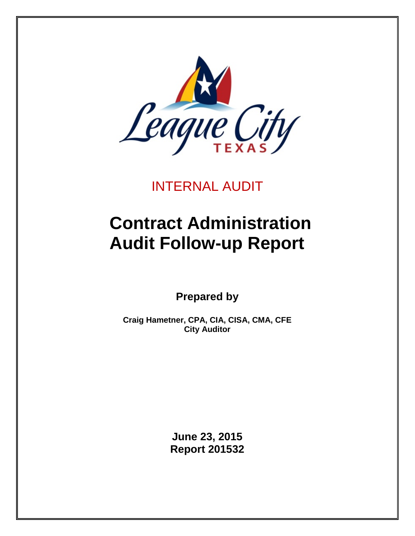

# INTERNAL AUDIT

# **Contract Administration Audit Follow-up Report**

**Prepared by**

**Craig Hametner, CPA, CIA, CISA, CMA, CFE City Auditor**

> **June 23, 2015 Report 201532**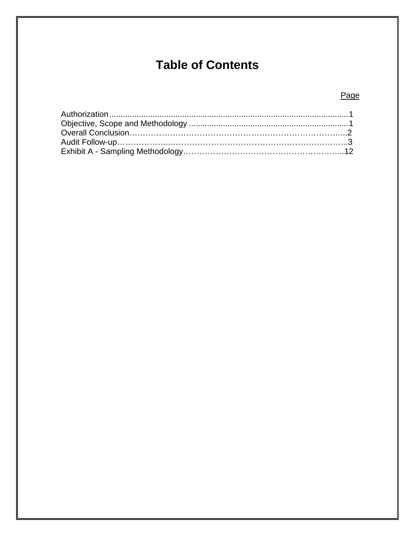# **Table of Contents**

# Page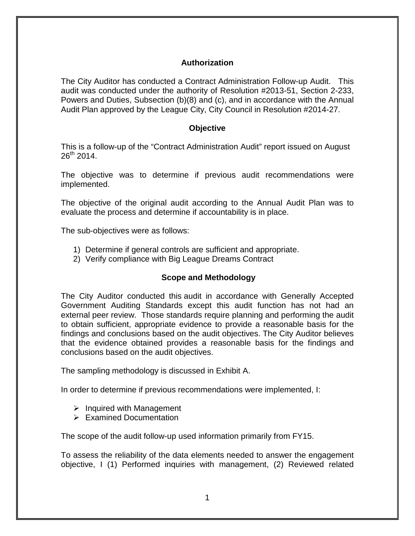#### **Authorization**

The City Auditor has conducted a Contract Administration Follow-up Audit. This audit was conducted under the authority of Resolution #2013-51, Section 2-233, Powers and Duties, Subsection (b)(8) and (c), and in accordance with the Annual Audit Plan approved by the League City, City Council in Resolution #2014-27.

#### **Objective**

This is a follow-up of the "Contract Administration Audit" report issued on August  $26^{th}$  2014.

The objective was to determine if previous audit recommendations were implemented.

The objective of the original audit according to the Annual Audit Plan was to evaluate the process and determine if accountability is in place.

The sub-objectives were as follows:

- 1) Determine if general controls are sufficient and appropriate.
- 2) Verify compliance with Big League Dreams Contract

#### **Scope and Methodology**

The City Auditor conducted this audit in accordance with Generally Accepted Government Auditing Standards except this audit function has not had an external peer review. Those standards require planning and performing the audit to obtain sufficient, appropriate evidence to provide a reasonable basis for the findings and conclusions based on the audit objectives. The City Auditor believes that the evidence obtained provides a reasonable basis for the findings and conclusions based on the audit objectives.

The sampling methodology is discussed in Exhibit A.

In order to determine if previous recommendations were implemented, I:

- $\triangleright$  Inquired with Management
- $\triangleright$  Examined Documentation

The scope of the audit follow-up used information primarily from FY15.

To assess the reliability of the data elements needed to answer the engagement objective, I (1) Performed inquiries with management, (2) Reviewed related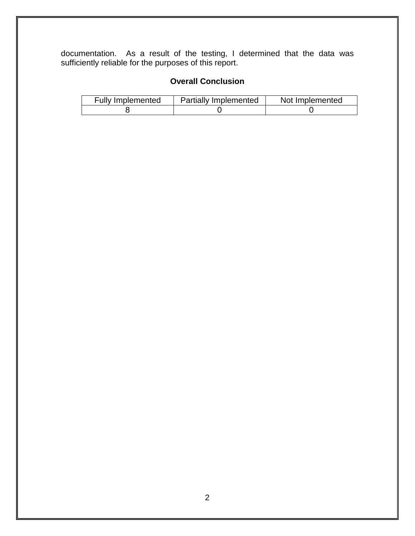documentation. As a result of the testing, I determined that the data was sufficiently reliable for the purposes of this report.

# **Overall Conclusion**

| <b>Fully Implemented</b> | <b>Partially Implemented</b> | Not Implemented |
|--------------------------|------------------------------|-----------------|
|                          |                              |                 |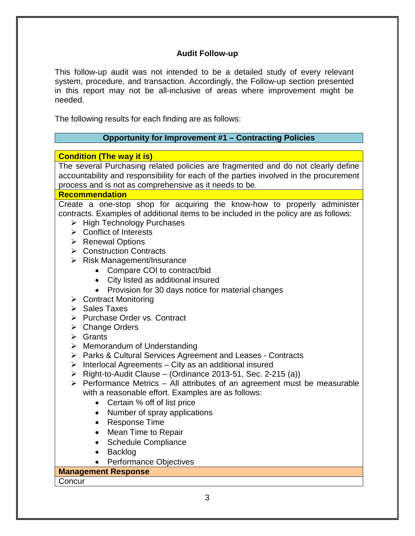#### **Audit Follow-up**

This follow-up audit was not intended to be a detailed study of every relevant system, procedure, and transaction. Accordingly, the Follow-up section presented in this report may not be all-inclusive of areas where improvement might be needed.

The following results for each finding are as follows:

#### **Opportunity for Improvement #1 – Contracting Policies**

#### **Condition (The way it is)**

The several Purchasing related policies are fragmented and do not clearly define accountability and responsibility for each of the parties involved in the procurement process and is not as comprehensive as it needs to be.

#### **Recommendation**

Create a one-stop shop for acquiring the know-how to properly administer contracts. Examples of additional items to be included in the policy are as follows:

- $\triangleright$  High Technology Purchases
- $\triangleright$  Conflict of Interests
- $\triangleright$  Renewal Options
- **▶ Construction Contracts**
- $\triangleright$  Risk Management/Insurance
	- Compare COI to contract/bid
	- City listed as additional insured
	- Provision for 30 days notice for material changes
- **► Contract Monitoring**
- $\triangleright$  Sales Taxes
- ▶ Purchase Order vs. Contract
- Change Orders
- $\triangleright$  Grants
- $\triangleright$  Memorandum of Understanding
- Parks & Cultural Services Agreement and Leases Contracts
- $\triangleright$  Interlocal Agreements City as an additional insured
- $\triangleright$  Right-to-Audit Clause (Ordinance 2013-51, Sec. 2-215 (a))
- $\triangleright$  Performance Metrics All attributes of an agreement must be measurable with a reasonable effort. Examples are as follows:
	- Certain % off of list price
	- Number of spray applications
	- Response Time
	- Mean Time to Repair
	- Schedule Compliance
	- Backlog
	- Performance Objectives

# **Management Response**

#### **Concur**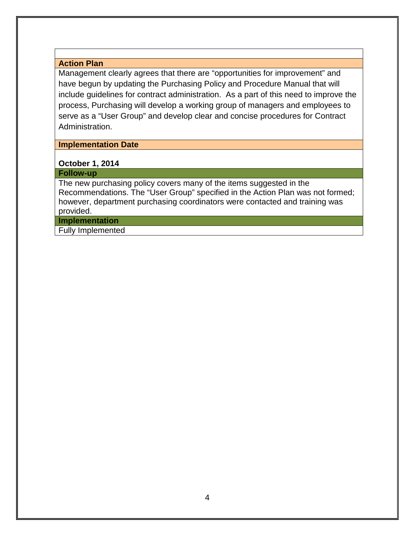#### **Action Plan**

Management clearly agrees that there are "opportunities for improvement" and have begun by updating the Purchasing Policy and Procedure Manual that will include guidelines for contract administration. As a part of this need to improve the process, Purchasing will develop a working group of managers and employees to serve as a "User Group" and develop clear and concise procedures for Contract Administration.

**Implementation Date**

#### **October 1, 2014**

#### **Follow-up**

The new purchasing policy covers many of the items suggested in the Recommendations. The "User Group" specified in the Action Plan was not formed; however, department purchasing coordinators were contacted and training was provided.

# **Implementation**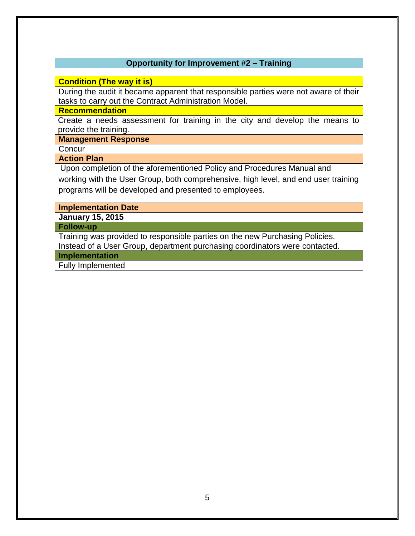#### **Opportunity for Improvement #2 – Training**

**Condition (The way it is)**

During the audit it became apparent that responsible parties were not aware of their tasks to carry out the Contract Administration Model.

#### **Recommendation**

Create a needs assessment for training in the city and develop the means to provide the training.

#### **Management Response**

**Concur** 

#### **Action Plan**

Upon completion of the aforementioned Policy and Procedures Manual and working with the User Group, both comprehensive, high level, and end user training programs will be developed and presented to employees.

#### **Implementation Date**

**January 15, 2015**

**Follow-up**

Training was provided to responsible parties on the new Purchasing Policies. Instead of a User Group, department purchasing coordinators were contacted.

#### **Implementation**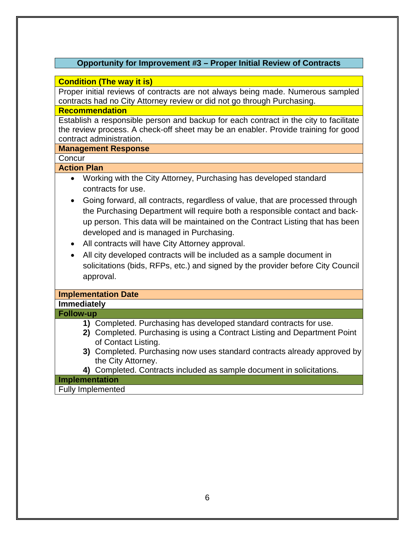# **Opportunity for Improvement #3 – Proper Initial Review of Contracts**

#### **Condition (The way it is)**

Proper initial reviews of contracts are not always being made. Numerous sampled contracts had no City Attorney review or did not go through Purchasing.

#### **Recommendation**

Establish a responsible person and backup for each contract in the city to facilitate the review process. A check-off sheet may be an enabler. Provide training for good contract administration.

#### **Management Response**

# **Concur**

## **Action Plan**

- Working with the City Attorney, Purchasing has developed standard contracts for use.
- Going forward, all contracts, regardless of value, that are processed through the Purchasing Department will require both a responsible contact and backup person. This data will be maintained on the Contract Listing that has been developed and is managed in Purchasing.
- All contracts will have City Attorney approval.
- All city developed contracts will be included as a sample document in solicitations (bids, RFPs, etc.) and signed by the provider before City Council approval.

| <b>Implementation Date</b>                                                |
|---------------------------------------------------------------------------|
| <b>Immediately</b>                                                        |
| <b>Follow-up</b>                                                          |
| 1) Completed. Purchasing has developed standard contracts for use.        |
| 2) Completed. Purchasing is using a Contract Listing and Department Point |
| of Contact Listing.                                                       |
| 3) Completed. Purchasing now uses standard contracts already approved by  |
| the City Attorney.                                                        |
| 4) Completed. Contracts included as sample document in solicitations.     |
| <b>Implementation</b>                                                     |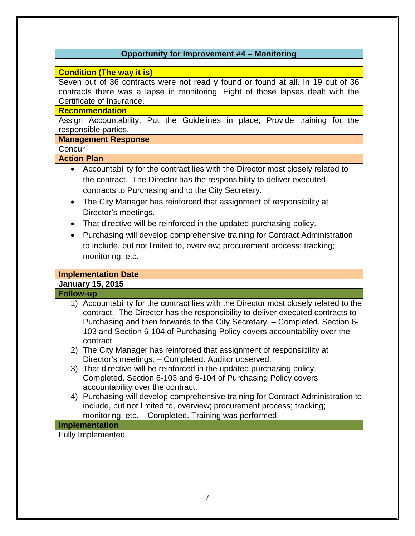#### **Opportunity for Improvement #4 – Monitoring**

#### **Condition (The way it is)**

Seven out of 36 contracts were not readily found or found at all. In 19 out of 36 contracts there was a lapse in monitoring. Eight of those lapses dealt with the Certificate of Insurance.

#### **Recommendation**

Assign Accountability, Put the Guidelines in place; Provide training for the responsible parties.

#### **Management Response**

**Concur** 

#### **Action Plan**

- Accountability for the contract lies with the Director most closely related to the contract. The Director has the responsibility to deliver executed contracts to Purchasing and to the City Secretary.
- The City Manager has reinforced that assignment of responsibility at Director's meetings.
- That directive will be reinforced in the updated purchasing policy.
- Purchasing will develop comprehensive training for Contract Administration to include, but not limited to, overview; procurement process; tracking; monitoring, etc.

# **Implementation Date**

#### **January 15, 2015**

**Follow-up**

- 1) Accountability for the contract lies with the Director most closely related to the contract. The Director has the responsibility to deliver executed contracts to Purchasing and then forwards to the City Secretary. – Completed. Section 6- 103 and Section 6-104 of Purchasing Policy covers accountability over the contract.
- 2) The City Manager has reinforced that assignment of responsibility at Director's meetings. – Completed. Auditor observed.
- 3) That directive will be reinforced in the updated purchasing policy. Completed. Section 6-103 and 6-104 of Purchasing Policy covers accountability over the contract.
- 4) Purchasing will develop comprehensive training for Contract Administration to include, but not limited to, overview; procurement process; tracking; monitoring, etc. – Completed. Training was performed.

#### **Implementation**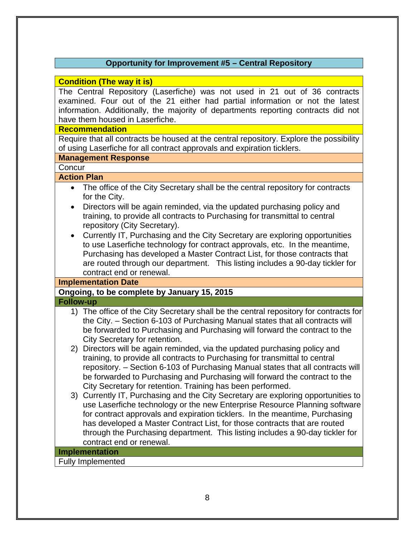# **Opportunity for Improvement #5 – Central Repository**

#### **Condition (The way it is)**

The Central Repository (Laserfiche) was not used in 21 out of 36 contracts examined. Four out of the 21 either had partial information or not the latest information. Additionally, the majority of departments reporting contracts did not have them housed in Laserfiche.

#### **Recommendation**

Require that all contracts be housed at the central repository. Explore the possibility of using Laserfiche for all contract approvals and expiration ticklers.

#### **Management Response**

**Concur** 

#### **Action Plan**

- The office of the City Secretary shall be the central repository for contracts for the City.
- Directors will be again reminded, via the updated purchasing policy and training, to provide all contracts to Purchasing for transmittal to central repository (City Secretary).
- Currently IT, Purchasing and the City Secretary are exploring opportunities to use Laserfiche technology for contract approvals, etc. In the meantime, Purchasing has developed a Master Contract List, for those contracts that are routed through our department. This listing includes a 90-day tickler for contract end or renewal.

#### **Implementation Date**

#### **Ongoing, to be complete by January 15, 2015**

#### **Follow-up**

- 1) The office of the City Secretary shall be the central repository for contracts for the City. – Section 6-103 of Purchasing Manual states that all contracts will be forwarded to Purchasing and Purchasing will forward the contract to the City Secretary for retention.
- 2) Directors will be again reminded, via the updated purchasing policy and training, to provide all contracts to Purchasing for transmittal to central repository. – Section 6-103 of Purchasing Manual states that all contracts will be forwarded to Purchasing and Purchasing will forward the contract to the City Secretary for retention. Training has been performed.
- 3) Currently IT, Purchasing and the City Secretary are exploring opportunities to use Laserfiche technology or the new Enterprise Resource Planning software for contract approvals and expiration ticklers. In the meantime, Purchasing has developed a Master Contract List, for those contracts that are routed through the Purchasing department. This listing includes a 90-day tickler for contract end or renewal.

#### **Implementation**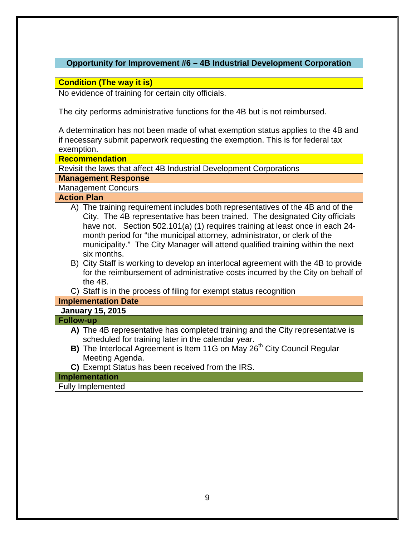| Opportunity for Improvement #6 - 4B Industrial Development Corporation<br><b>Condition (The way it is)</b><br>No evidence of training for certain city officials.<br>The city performs administrative functions for the 4B but is not reimbursed.<br>A determination has not been made of what exemption status applies to the 4B and<br>if necessary submit paperwork requesting the exemption. This is for federal tax<br>exemption.<br><b>Recommendation</b><br>Revisit the laws that affect 4B Industrial Development Corporations<br><b>Management Response</b><br><b>Management Concurs</b><br><b>Action Plan</b><br>A) The training requirement includes both representatives of the 4B and of the<br>City. The 4B representative has been trained. The designated City officials<br>have not. Section 502.101(a) (1) requires training at least once in each 24-<br>month period for "the municipal attorney, administrator, or clerk of the<br>municipality." The City Manager will attend qualified training within the next<br>six months.<br>B) City Staff is working to develop an interlocal agreement with the 4B to provide<br>for the reimbursement of administrative costs incurred by the City on behalf of<br>the 4B.<br>C) Staff is in the process of filing for exempt status recognition<br><b>Implementation Date</b><br><b>January 15, 2015</b> |
|--------------------------------------------------------------------------------------------------------------------------------------------------------------------------------------------------------------------------------------------------------------------------------------------------------------------------------------------------------------------------------------------------------------------------------------------------------------------------------------------------------------------------------------------------------------------------------------------------------------------------------------------------------------------------------------------------------------------------------------------------------------------------------------------------------------------------------------------------------------------------------------------------------------------------------------------------------------------------------------------------------------------------------------------------------------------------------------------------------------------------------------------------------------------------------------------------------------------------------------------------------------------------------------------------------------------------------------------------------------------------|
|                                                                                                                                                                                                                                                                                                                                                                                                                                                                                                                                                                                                                                                                                                                                                                                                                                                                                                                                                                                                                                                                                                                                                                                                                                                                                                                                                                          |
|                                                                                                                                                                                                                                                                                                                                                                                                                                                                                                                                                                                                                                                                                                                                                                                                                                                                                                                                                                                                                                                                                                                                                                                                                                                                                                                                                                          |
|                                                                                                                                                                                                                                                                                                                                                                                                                                                                                                                                                                                                                                                                                                                                                                                                                                                                                                                                                                                                                                                                                                                                                                                                                                                                                                                                                                          |
|                                                                                                                                                                                                                                                                                                                                                                                                                                                                                                                                                                                                                                                                                                                                                                                                                                                                                                                                                                                                                                                                                                                                                                                                                                                                                                                                                                          |
|                                                                                                                                                                                                                                                                                                                                                                                                                                                                                                                                                                                                                                                                                                                                                                                                                                                                                                                                                                                                                                                                                                                                                                                                                                                                                                                                                                          |
|                                                                                                                                                                                                                                                                                                                                                                                                                                                                                                                                                                                                                                                                                                                                                                                                                                                                                                                                                                                                                                                                                                                                                                                                                                                                                                                                                                          |
|                                                                                                                                                                                                                                                                                                                                                                                                                                                                                                                                                                                                                                                                                                                                                                                                                                                                                                                                                                                                                                                                                                                                                                                                                                                                                                                                                                          |
|                                                                                                                                                                                                                                                                                                                                                                                                                                                                                                                                                                                                                                                                                                                                                                                                                                                                                                                                                                                                                                                                                                                                                                                                                                                                                                                                                                          |
|                                                                                                                                                                                                                                                                                                                                                                                                                                                                                                                                                                                                                                                                                                                                                                                                                                                                                                                                                                                                                                                                                                                                                                                                                                                                                                                                                                          |
|                                                                                                                                                                                                                                                                                                                                                                                                                                                                                                                                                                                                                                                                                                                                                                                                                                                                                                                                                                                                                                                                                                                                                                                                                                                                                                                                                                          |
|                                                                                                                                                                                                                                                                                                                                                                                                                                                                                                                                                                                                                                                                                                                                                                                                                                                                                                                                                                                                                                                                                                                                                                                                                                                                                                                                                                          |
|                                                                                                                                                                                                                                                                                                                                                                                                                                                                                                                                                                                                                                                                                                                                                                                                                                                                                                                                                                                                                                                                                                                                                                                                                                                                                                                                                                          |
|                                                                                                                                                                                                                                                                                                                                                                                                                                                                                                                                                                                                                                                                                                                                                                                                                                                                                                                                                                                                                                                                                                                                                                                                                                                                                                                                                                          |
|                                                                                                                                                                                                                                                                                                                                                                                                                                                                                                                                                                                                                                                                                                                                                                                                                                                                                                                                                                                                                                                                                                                                                                                                                                                                                                                                                                          |
|                                                                                                                                                                                                                                                                                                                                                                                                                                                                                                                                                                                                                                                                                                                                                                                                                                                                                                                                                                                                                                                                                                                                                                                                                                                                                                                                                                          |
|                                                                                                                                                                                                                                                                                                                                                                                                                                                                                                                                                                                                                                                                                                                                                                                                                                                                                                                                                                                                                                                                                                                                                                                                                                                                                                                                                                          |
| <b>Follow-up</b>                                                                                                                                                                                                                                                                                                                                                                                                                                                                                                                                                                                                                                                                                                                                                                                                                                                                                                                                                                                                                                                                                                                                                                                                                                                                                                                                                         |
| A) The 4B representative has completed training and the City representative is                                                                                                                                                                                                                                                                                                                                                                                                                                                                                                                                                                                                                                                                                                                                                                                                                                                                                                                                                                                                                                                                                                                                                                                                                                                                                           |
| scheduled for training later in the calendar year.                                                                                                                                                                                                                                                                                                                                                                                                                                                                                                                                                                                                                                                                                                                                                                                                                                                                                                                                                                                                                                                                                                                                                                                                                                                                                                                       |
| <b>B)</b> The Interlocal Agreement is Item 11G on May 26 <sup>th</sup> City Council Regular                                                                                                                                                                                                                                                                                                                                                                                                                                                                                                                                                                                                                                                                                                                                                                                                                                                                                                                                                                                                                                                                                                                                                                                                                                                                              |
| Meeting Agenda.                                                                                                                                                                                                                                                                                                                                                                                                                                                                                                                                                                                                                                                                                                                                                                                                                                                                                                                                                                                                                                                                                                                                                                                                                                                                                                                                                          |
| C) Exempt Status has been received from the IRS.                                                                                                                                                                                                                                                                                                                                                                                                                                                                                                                                                                                                                                                                                                                                                                                                                                                                                                                                                                                                                                                                                                                                                                                                                                                                                                                         |
| Implementation<br><b>Fully Implemented</b>                                                                                                                                                                                                                                                                                                                                                                                                                                                                                                                                                                                                                                                                                                                                                                                                                                                                                                                                                                                                                                                                                                                                                                                                                                                                                                                               |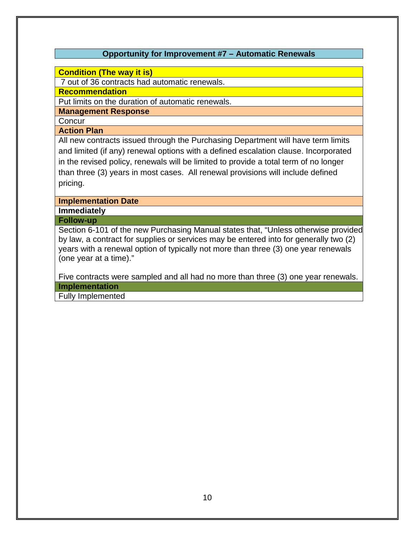#### **Opportunity for Improvement #7 – Automatic Renewals**

**Condition (The way it is)**

7 out of 36 contracts had automatic renewals.

**Recommendation**

Put limits on the duration of automatic renewals.

**Management Response**

**Concur** 

**Action Plan**

All new contracts issued through the Purchasing Department will have term limits and limited (if any) renewal options with a defined escalation clause. Incorporated in the revised policy, renewals will be limited to provide a total term of no longer than three (3) years in most cases. All renewal provisions will include defined pricing.

**Implementation Date Immediately** 

**Follow-up**

Section 6-101 of the new Purchasing Manual states that, "Unless otherwise provided by law, a contract for supplies or services may be entered into for generally two (2) years with a renewal option of typically not more than three (3) one year renewals (one year at a time)."

Five contracts were sampled and all had no more than three (3) one year renewals. **Implementation**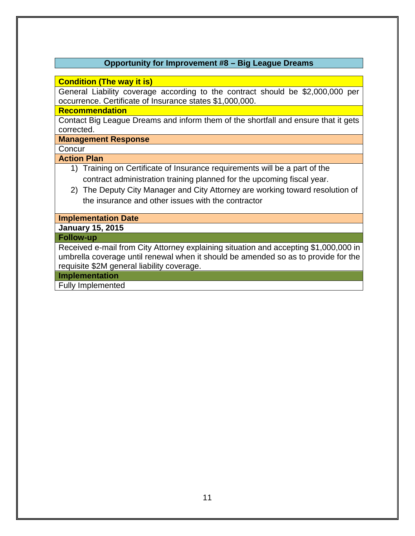# **Opportunity for Improvement #8 – Big League Dreams**

#### **Condition (The way it is)**

General Liability coverage according to the contract should be \$2,000,000 per occurrence. Certificate of Insurance states \$1,000,000.

#### **Recommendation**

Contact Big League Dreams and inform them of the shortfall and ensure that it gets corrected.

#### **Management Response**

**Concur** 

#### **Action Plan**

- 1) Training on Certificate of Insurance requirements will be a part of the contract administration training planned for the upcoming fiscal year.
- 2) The Deputy City Manager and City Attorney are working toward resolution of the insurance and other issues with the contractor

#### **Implementation Date**

#### **January 15, 2015**

**Follow-up**

Received e-mail from City Attorney explaining situation and accepting \$1,000,000 in umbrella coverage until renewal when it should be amended so as to provide for the requisite \$2M general liability coverage.

#### **Implementation**